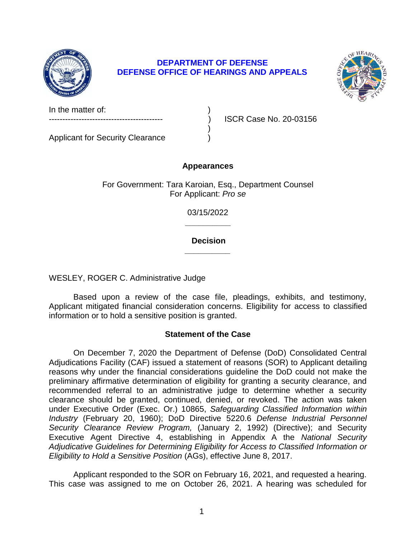

# **DEPARTMENT OF DEFENSE DEFENSE OFFICE OF HEARINGS AND APPEALS**



In the matter of:

Applicant for Security Clearance )

ISCR Case No. 20-03156

# **Appearances**

)

For Government: Tara Karoian, Esq., Department Counsel For Applicant: *Pro se* 

> **\_\_\_\_\_\_\_\_\_\_**  03/15/2022

> **\_\_\_\_\_\_\_\_\_\_ Decision**

WESLEY, ROGER C. Administrative Judge

 Based upon a review of the case file, pleadings, exhibits, and testimony, Applicant mitigated financial consideration concerns. Eligibility for access to classified information or to hold a sensitive position is granted.

# **Statement of the Case**

 On December 7, 2020 the Department of Defense (DoD) Consolidated Central Adjudications Facility (CAF) issued a statement of reasons (SOR) to Applicant detailing reasons why under the financial considerations guideline the DoD could not make the preliminary affirmative determination of eligibility for granting a security clearance, and recommended referral to an administrative judge to determine whether a security clearance should be granted, continued, denied, or revoked. The action was taken *Industry* (February 20, 1960); DoD Directive 5220.6 *Defense Industrial Personnel Security Clearance Review Program,* (January 2, 1992) (Directive); and Security Executive Agent Directive 4, establishing in Appendix A the *National Security Adjudicative Guidelines for Determining Eligibility for Access to Classified Information or*  under Executive Order (Exec. Or.) 10865, *Safeguarding Classified Information within Eligibility to Hold a Sensitive Position* (AGs), effective June 8, 2017.

 Applicant responded to the SOR on February 16, 2021, and requested a hearing. This case was assigned to me on October 26, 2021. A hearing was scheduled for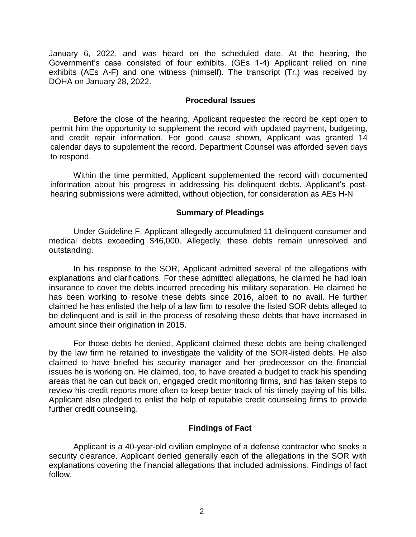January 6, 2022, and was heard on the scheduled date. At the hearing, the Government's case consisted of four exhibits. (GEs 1-4) Applicant relied on nine exhibits (AEs A-F) and one witness (himself). The transcript (Tr.) was received by DOHA on January 28, 2022.

## **Procedural Issues**

 Before the close of the hearing, Applicant requested the record be kept open to permit him the opportunity to supplement the record with updated payment, budgeting, and credit repair information. For good cause shown, Applicant was granted 14 calendar days to supplement the record. Department Counsel was afforded seven days to respond.

 Within the time permitted, Applicant supplemented the record with documented information about his progress in addressing his delinquent debts. Applicant's post-hearing submissions were admitted, without objection, for consideration as AEs H-N

## **Summary of Pleadings**

 Under Guideline F, Applicant allegedly accumulated 11 delinquent consumer and medical debts exceeding \$46,000. Allegedly, these debts remain unresolved and outstanding.

 In his response to the SOR, Applicant admitted several of the allegations with explanations and clarifications. For these admitted allegations, he claimed he had loan insurance to cover the debts incurred preceding his military separation. He claimed he has been working to resolve these debts since 2016, albeit to no avail. He further claimed he has enlisted the help of a law firm to resolve the listed SOR debts alleged to be delinquent and is still in the process of resolving these debts that have increased in amount since their origination in 2015.

 For those debts he denied, Applicant claimed these debts are being challenged by the law firm he retained to investigate the validity of the SOR-listed debts. He also claimed to have briefed his security manager and her predecessor on the financial issues he is working on. He claimed, too, to have created a budget to track his spending areas that he can cut back on, engaged credit monitoring firms, and has taken steps to review his credit reports more often to keep better track of his timely paying of his bills. Applicant also pledged to enlist the help of reputable credit counseling firms to provide further credit counseling.

# **Findings of Fact**

 Applicant is a 40-year-old civilian employee of a defense contractor who seeks a security clearance. Applicant denied generally each of the allegations in the SOR with explanations covering the financial allegations that included admissions. Findings of fact follow.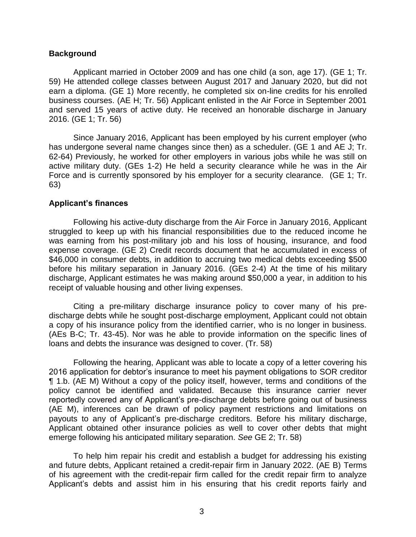#### **Background**

Applicant married in October 2009 and has one child (a son, age 17). (GE 1; Tr. 59) He attended college classes between August 2017 and January 2020, but did not earn a diploma. (GE 1) More recently, he completed six on-line credits for his enrolled business courses. (AE H; Tr. 56) Applicant enlisted in the Air Force in September 2001 and served 15 years of active duty. He received an honorable discharge in January 2016. (GE 1; Tr. 56)

 has undergone several name changes since then) as a scheduler. (GE 1 and AE J; Tr. 62-64) Previously, he worked for other employers in various jobs while he was still on active military duty. (GEs 1-2) He held a security clearance while he was in the Air Force and is currently sponsored by his employer for a security clearance. (GE 1; Tr. Since January 2016, Applicant has been employed by his current employer (who 63)

#### **Applicant's finances**

 Following his active-duty discharge from the Air Force in January 2016, Applicant struggled to keep up with his financial responsibilities due to the reduced income he was earning from his post-military job and his loss of housing, insurance, and food \$46,000 in consumer debts, in addition to accruing two medical debts exceeding \$500 before his military separation in January 2016. (GEs 2-4) At the time of his military discharge, Applicant estimates he was making around \$50,000 a year, in addition to his expense coverage. (GE 2) Credit records document that he accumulated in excess of receipt of valuable housing and other living expenses.

 Citing a pre-military discharge insurance policy to cover many of his pre- discharge debts while he sought post-discharge employment, Applicant could not obtain a copy of his insurance policy from the identified carrier, who is no longer in business. (AEs B-C; Tr. 43-45). Nor was he able to provide information on the specific lines of loans and debts the insurance was designed to cover. (Tr. 58)

 Following the hearing, Applicant was able to locate a copy of a letter covering his 2016 application for debtor's insurance to meet his payment obligations to SOR creditor ¶ 1.b. (AE M) Without a copy of the policy itself, however, terms and conditions of the policy cannot be identified and validated. Because this insurance carrier never reportedly covered any of Applicant's pre-discharge debts before going out of business (AE M), inferences can be drawn of policy payment restrictions and limitations on payouts to any of Applicant's pre-discharge creditors. Before his military discharge, Applicant obtained other insurance policies as well to cover other debts that might emerge following his anticipated military separation. *See* GE 2; Tr. 58)

 To help him repair his credit and establish a budget for addressing his existing and future debts, Applicant retained a credit-repair firm in January 2022. (AE B) Terms of his agreement with the credit-repair firm called for the credit repair firm to analyze Applicant's debts and assist him in his ensuring that his credit reports fairly and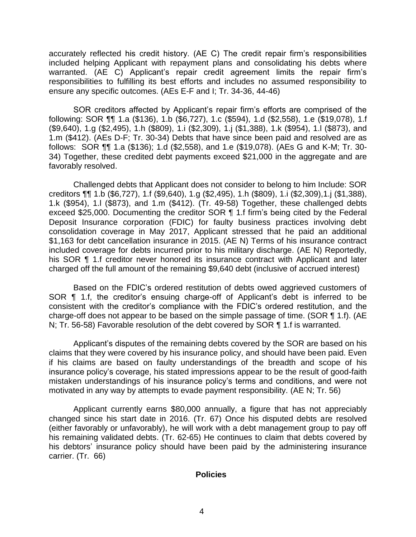accurately reflected his credit history. (AE C) The credit repair firm's responsibilities warranted. (AE C) Applicant's repair credit agreement limits the repair firm's responsibilities to fulfilling its best efforts and includes no assumed responsibility to included helping Applicant with repayment plans and consolidating his debts where ensure any specific outcomes. (AEs E-F and I; Tr. 34-36, 44-46)

SOR creditors affected by Applicant's repair firm's efforts are comprised of the following: SOR ¶¶ 1.a (\$136), 1.b (\$6,727), 1.c (\$594), 1.d (\$2,558), 1.e (\$19,078), 1.f (\$9,640), 1.g (\$2,495), 1.h (\$809), 1.i (\$2,309), 1.j (\$1,388), 1.k (\$954), 1.l (\$873), and 1.m (\$412). (AEs D-F; Tr. 30-34) Debts that have since been paid and resolved are as follows: SOR ¶¶ 1.a (\$136); 1.d (\$2,558), and 1.e (\$19,078). (AEs G and K-M; Tr. 30- 34) Together, these credited debt payments exceed \$21,000 in the aggregate and are favorably resolved.

Challenged debts that Applicant does not consider to belong to him Include: SOR creditors ¶¶ 1.b (\$6,727), 1.f (\$9,640), 1.g (\$2,495), 1.h (\$809), 1.i (\$2,309),1.j (\$1,388), 1.k (\$954), 1.l (\$873), and 1.m (\$412). (Tr. 49-58) Together, these challenged debts exceed \$25,000. Documenting the creditor SOR ¶ 1.f firm's being cited by the Federal Deposit Insurance corporation (FDIC) for faulty business practices involving debt consolidation coverage in May 2017, Applicant stressed that he paid an additional \$1,163 for debt cancellation insurance in 2015. (AE N) Terms of his insurance contract included coverage for debts incurred prior to his military discharge. (AE N) Reportedly, his SOR ¶ 1.f creditor never honored its insurance contract with Applicant and later charged off the full amount of the remaining \$9,640 debt (inclusive of accrued interest)

 Based on the FDIC's ordered restitution of debts owed aggrieved customers of SOR ¶ 1.f, the creditor's ensuing charge-off of Applicant's debt is inferred to be consistent with the creditor's compliance with the FDIC's ordered restitution, and the charge-off does not appear to be based on the simple passage of time. (SOR ¶ 1.f). (AE N; Tr. 56-58) Favorable resolution of the debt covered by SOR ¶ 1.f is warranted.

 claims that they were covered by his insurance policy, and should have been paid. Even if his claims are based on faulty understandings of the breadth and scope of his insurance policy's coverage, his stated impressions appear to be the result of good-faith mistaken understandings of his insurance policy's terms and conditions, and were not Applicant's disputes of the remaining debts covered by the SOR are based on his motivated in any way by attempts to evade payment responsibility. (AE N; Tr. 56)

 Applicant currently earns \$80,000 annually, a figure that has not appreciably changed since his start date in 2016. (Tr. 67) Once his disputed debts are resolved (either favorably or unfavorably), he will work with a debt management group to pay off his remaining validated debts. (Tr. 62-65) He continues to claim that debts covered by his debtors' insurance policy should have been paid by the administering insurance carrier. (Tr. 66)

## **Policies**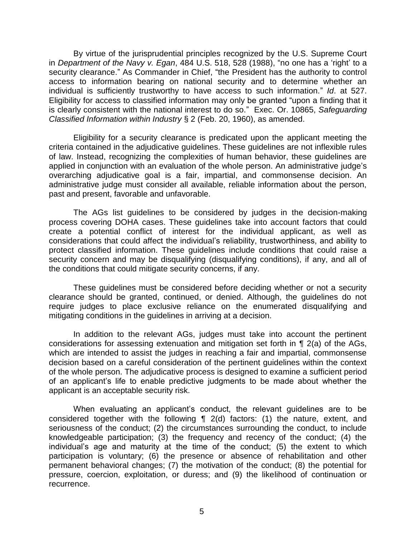By virtue of the jurisprudential principles recognized by the U.S. Supreme Court  in *Department of the Navy v. Egan*, 484 U.S. 518, 528 (1988), "no one has a 'right' to a security clearance." As Commander in Chief, "the President has the authority to control access to information bearing on national security and to determine whether an individual is sufficiently trustworthy to have access to such information." *Id*. at 527. Eligibility for access to classified information may only be granted "upon a finding that it is clearly consistent with the national interest to do so." Exec. Or. 10865, *Safeguarding*  Classified Information within Industry § 2 (Feb. 20, 1960), as amended.

*Classified Information within Industry* § 2 (Feb. 20, 1960), as amended.<br>Eligibility for a security clearance is predicated upon the applicant meeting the criteria contained in the adjudicative guidelines. These guidelines are not inflexible rules of law. Instead, recognizing the complexities of human behavior, these guidelines are applied in conjunction with an evaluation of the whole person. An administrative judge's overarching adjudicative goal is a fair, impartial, and commonsense decision. An administrative judge must consider all available, reliable information about the person, past and present, favorable and unfavorable.

 The AGs list guidelines to be considered by judges in the decision-making process covering DOHA cases. These guidelines take into account factors that could create a potential conflict of interest for the individual applicant, as well as considerations that could affect the individual's reliability, trustworthiness, and ability to protect classified information. These guidelines include conditions that could raise a security concern and may be disqualifying (disqualifying conditions), if any, and all of the conditions that could mitigate security concerns, if any.

 These guidelines must be considered before deciding whether or not a security clearance should be granted, continued, or denied. Although, the guidelines do not require judges to place exclusive reliance on the enumerated disqualifying and mitigating conditions in the guidelines in arriving at a decision.

 In addition to the relevant AGs, judges must take into account the pertinent considerations for assessing extenuation and mitigation set forth in ¶ 2(a) of the AGs, which are intended to assist the judges in reaching a fair and impartial, commonsense decision based on a careful consideration of the pertinent guidelines within the context of an applicant's life to enable predictive judgments to be made about whether the of the whole person. The adjudicative process is designed to examine a sufficient period applicant is an acceptable security risk.

 When evaluating an applicant's conduct, the relevant guidelines are to be considered together with the following ¶ 2(d) factors: (1) the nature, extent, and seriousness of the conduct; (2) the circumstances surrounding the conduct, to include knowledgeable participation; (3) the frequency and recency of the conduct; (4) the individual's age and maturity at the time of the conduct; (5) the extent to which participation is voluntary; (6) the presence or absence of rehabilitation and other permanent behavioral changes; (7) the motivation of the conduct; (8) the potential for pressure, coercion, exploitation, or duress; and (9) the likelihood of continuation or recurrence.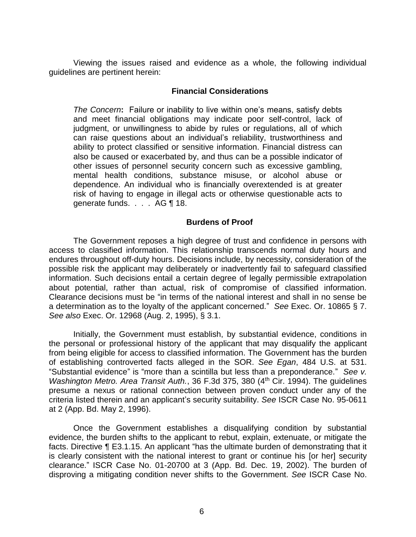Viewing the issues raised and evidence as a whole, the following individual guidelines are pertinent herein:

## **Financial Considerations**

*The Concern***:** Failure or inability to live within one's means, satisfy debts and meet financial obligations may indicate poor self-control, lack of judgment, or unwillingness to abide by rules or regulations, all of which can raise questions about an individual's reliability, trustworthiness and ability to protect classified or sensitive information. Financial distress can also be caused or exacerbated by, and thus can be a possible indicator of other issues of personnel security concern such as excessive gambling, mental health conditions, substance misuse, or alcohol abuse or dependence. An individual who is financially overextended is at greater risk of having to engage in illegal acts or otherwise questionable acts to generate funds. . . . AG ¶ 18.

#### **Burdens of Proof**

 The Government reposes a high degree of trust and confidence in persons with access to classified information. This relationship transcends normal duty hours and endures throughout off-duty hours. Decisions include, by necessity, consideration of the possible risk the applicant may deliberately or inadvertently fail to safeguard classified information. Such decisions entail a certain degree of legally permissible extrapolation about potential, rather than actual, risk of compromise of classified information. Clearance decisions must be "in terms of the national interest and shall in no sense be a determination as to the loyalty of the applicant concerned." *See* Exec. Or. 10865 § 7. *See also* Exec. Or. 12968 (Aug. 2, 1995), § 3.1.

Initially, the Government must establish, by substantial evidence, conditions in the personal or professional history of the applicant that may disqualify the applicant from being eligible for access to classified information. The Government has the burden of establishing controverted facts alleged in the SOR. *See Egan*, 484 U.S. at 531. "Substantial evidence" is "more than a scintilla but less than a preponderance." *See v. Washington Metro. Area Transit Auth.*, 36 F.3d 375, 380 (4<sup>th</sup> Cir. 1994). The quidelines presume a nexus or rational connection between proven conduct under any of the criteria listed therein and an applicant's security suitability. *See* ISCR Case No. 95-0611 at 2 (App. Bd. May 2, 1996).

 Once the Government establishes a disqualifying condition by substantial evidence, the burden shifts to the applicant to rebut, explain, extenuate, or mitigate the facts. Directive ¶ E3.1.15. An applicant "has the ultimate burden of demonstrating that it is clearly consistent with the national interest to grant or continue his [or her] security clearance." ISCR Case No. 01-20700 at 3 (App. Bd. Dec. 19, 2002). The burden of disproving a mitigating condition never shifts to the Government. *See* ISCR Case No.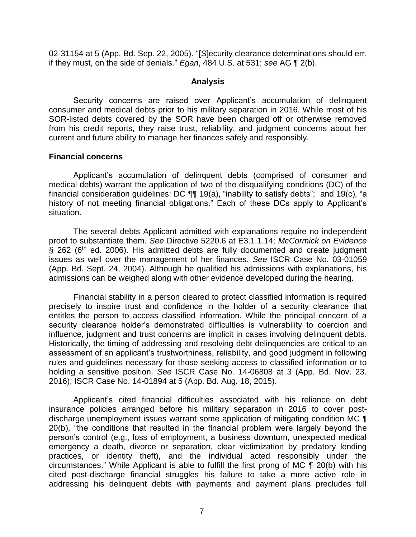02-31154 at 5 (App. Bd. Sep. 22, 2005). "[S]ecurity clearance determinations should err, if they must, on the side of denials." *Egan*, 484 U.S. at 531; *see* AG ¶ 2(b).

## **Analysis**

 Security concerns are raised over Applicant's accumulation of delinquent consumer and medical debts prior to his military separation in 2016. While most of his SOR-listed debts covered by the SOR have been charged off or otherwise removed from his credit reports, they raise trust, reliability, and judgment concerns about her current and future ability to manage her finances safely and responsibly.

## **Financial concerns**

 Applicant's accumulation of delinquent debts (comprised of consumer and medical debts) warrant the application of two of the disqualifying conditions (DC) of the financial consideration guidelines: DC ¶¶ 19(a), "inability to satisfy debts"; and 19(c), "a history of not meeting financial obligations." Each of these DCs apply to Applicant's situation.

The several debts Applicant admitted with explanations require no independent proof to substantiate them. *See* Directive 5220.6 at [E3.1.1.14;](https://E3.1.1.14) *McCormick on Evidence*  $\hat{S}$  262 (6<sup>th</sup> ed. 2006). His admitted debts are fully documented and create judgment issues as well over the management of her finances. *See* ISCR Case No. 03-01059 (App. Bd. Sept. 24, 2004). Although he qualified his admissions with explanations, his admissions can be weighed along with other evidence developed during the hearing.

 Financial stability in a person cleared to protect classified information is required precisely to inspire trust and confidence in the holder of a security clearance that entitles the person to access classified information. While the principal concern of a security clearance holder's demonstrated difficulties is vulnerability to coercion and influence, judgment and trust concerns are implicit in cases involving delinquent debts. Historically, the timing of addressing and resolving debt delinquencies are critical to an assessment of an applicant's trustworthiness, reliability, and good judgment in following rules and guidelines necessary for those seeking access to classified information or to holding a sensitive position. *See* ISCR Case No. 14-06808 at 3 (App. Bd. Nov. 23. 2016); ISCR Case No. 14-01894 at 5 (App. Bd. Aug. 18, 2015).

 Applicant's cited financial difficulties associated with his reliance on debt insurance policies arranged before his military separation in 2016 to cover post- discharge unemployment issues warrant some application of mitigating condition MC ¶ 20(b), "the conditions that resulted in the financial problem were largely beyond the person's control (e.g., loss of employment, a business downturn, unexpected medical emergency a death, divorce or separation, clear victimization by predatory lending practices, or identity theft), and the individual acted responsibly under the circumstances." While Applicant is able to fulfill the first prong of MC ¶ 20(b) with his cited post-discharge financial struggles his failure to take a more active role in addressing his delinquent debts with payments and payment plans precludes full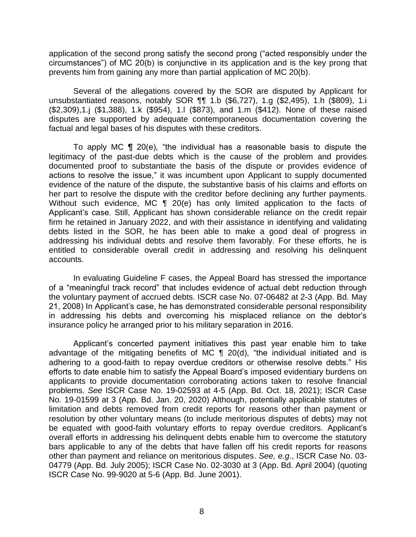application of the second prong satisfy the second prong ("acted responsibly under the circumstances") of MC 20(b) is conjunctive in its application and is the key prong that prevents him from gaining any more than partial application of MC 20(b).

 Several of the allegations covered by the SOR are disputed by Applicant for unsubstantiated reasons, notably SOR ¶¶ 1.b (\$6,727), 1.g (\$2,495), 1.h (\$809), 1.i (\$2,309),1.j (\$1,388), 1.k (\$954), 1.l (\$873), and 1.m (\$412). None of these raised disputes are supported by adequate contemporaneous documentation covering the factual and legal bases of his disputes with these creditors.

To apply MC  $\P$  20(e), "the individual has a reasonable basis to dispute the legitimacy of the past-due debts which is the cause of the problem and provides documented proof to substantiate the basis of the dispute or provides evidence of actions to resolve the issue," it was incumbent upon Applicant to supply documented evidence of the nature of the dispute, the substantive basis of his claims and efforts on her part to resolve the dispute with the creditor before declining any further payments. Without such evidence, MC ¶ 20(e) has only limited application to the facts of Applicant's case. Still, Applicant has shown considerable reliance on the credit repair firm he retained in January 2022, and with their assistance in identifying and validating debts listed in the SOR, he has been able to make a good deal of progress in addressing his individual debts and resolve them favorably. For these efforts, he is entitled to considerable overall credit in addressing and resolving his delinquent accounts.

In evaluating Guideline F cases, the Appeal Board has stressed the importance of a "meaningful track record" that includes evidence of actual debt reduction through the voluntary payment of accrued debts. ISCR case No. 07-06482 at 2-3 (App. Bd. May 21, 2008) In Applicant's case, he has demonstrated considerable personal responsibility in addressing his debts and overcoming his misplaced reliance on the debtor's insurance policy he arranged prior to his military separation in 2016.

Applicant's concerted payment initiatives this past year enable him to take advantage of the mitigating benefits of MC  $\P$  20(d), "the individual initiated and is adhering to a good-faith to repay overdue creditors or otherwise resolve debts." His efforts to date enable him to satisfy the Appeal Board's imposed evidentiary burdens on applicants to provide documentation corroborating actions taken to resolve financial problems. *See* ISCR Case No. 19-02593 at 4-5 (App. Bd. Oct. 18, 2021); ISCR Case No. 19-01599 at 3 (App. Bd. Jan. 20, 2020) Although, potentially applicable statutes of limitation and debts removed from credit reports for reasons other than payment or resolution by other voluntary means (to include meritorious disputes of debts) may not be equated with good-faith voluntary efforts to repay overdue creditors. Applicant's overall efforts in addressing his delinquent debts enable him to overcome the statutory bars applicable to any of the debts that have fallen off his credit reports for reasons other than payment and reliance on meritorious disputes. *See, e.g*., ISCR Case No. 03- 04779 (App. Bd. July 2005); ISCR Case No. 02-3030 at 3 (App. Bd. April 2004) (quoting ISCR Case No. 99-9020 at 5-6 (App. Bd. June 2001).